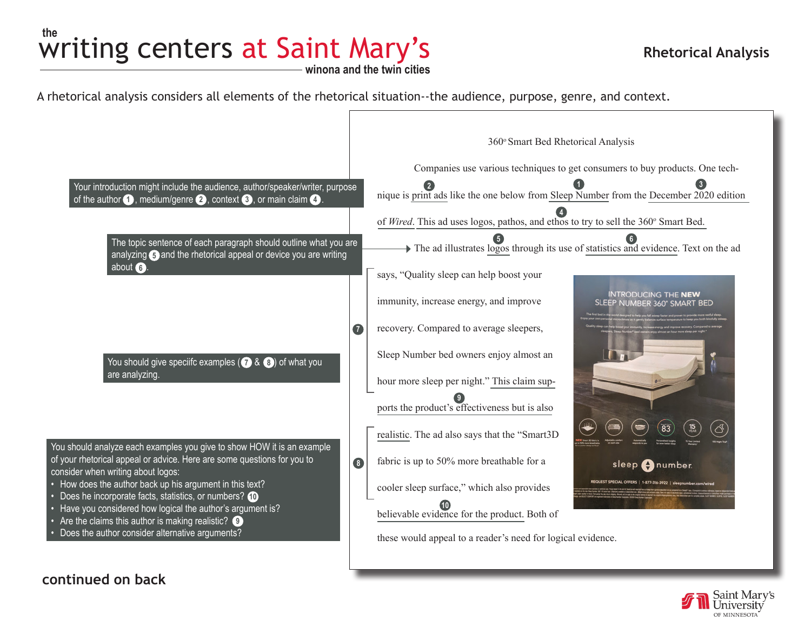## Writing centers at Saint Mary's **Rhetorical Analysis the**

**winona and the twin cities**

A rhetorical analysis considers all elements of the rhetorical situation--the audience, purpose, genre, and context.



**continued on back**